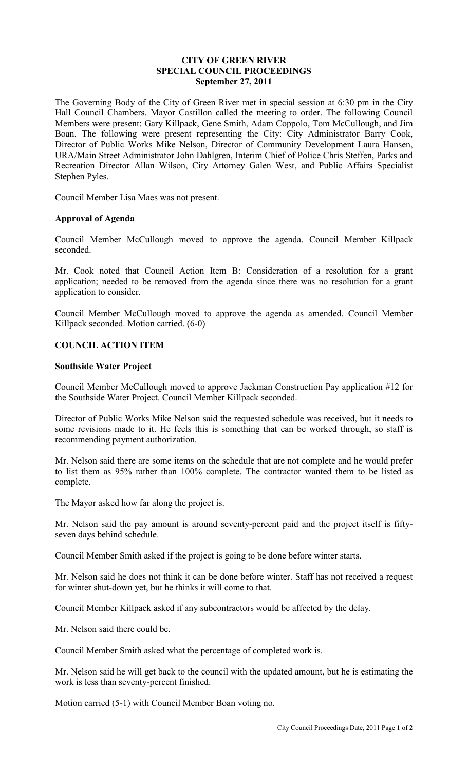## **CITY OF GREEN RIVER SPECIAL COUNCIL PROCEEDINGS September 27, 2011**

The Governing Body of the City of Green River met in special session at 6:30 pm in the City Hall Council Chambers. Mayor Castillon called the meeting to order. The following Council Members were present: Gary Killpack, Gene Smith, Adam Coppolo, Tom McCullough, and Jim Boan. The following were present representing the City: City Administrator Barry Cook, Director of Public Works Mike Nelson, Director of Community Development Laura Hansen, URA/Main Street Administrator John Dahlgren, Interim Chief of Police Chris Steffen, Parks and Recreation Director Allan Wilson, City Attorney Galen West, and Public Affairs Specialist Stephen Pyles.

Council Member Lisa Maes was not present.

### **Approval of Agenda**

Council Member McCullough moved to approve the agenda. Council Member Killpack seconded.

Mr. Cook noted that Council Action Item B: Consideration of a resolution for a grant application; needed to be removed from the agenda since there was no resolution for a grant application to consider.

Council Member McCullough moved to approve the agenda as amended. Council Member Killpack seconded. Motion carried. (6-0)

## **COUNCIL ACTION ITEM**

### **Southside Water Project**

Council Member McCullough moved to approve Jackman Construction Pay application #12 for the Southside Water Project. Council Member Killpack seconded.

Director of Public Works Mike Nelson said the requested schedule was received, but it needs to some revisions made to it. He feels this is something that can be worked through, so staff is recommending payment authorization.

Mr. Nelson said there are some items on the schedule that are not complete and he would prefer to list them as 95% rather than 100% complete. The contractor wanted them to be listed as complete.

The Mayor asked how far along the project is.

Mr. Nelson said the pay amount is around seventy-percent paid and the project itself is fiftyseven days behind schedule.

Council Member Smith asked if the project is going to be done before winter starts.

Mr. Nelson said he does not think it can be done before winter. Staff has not received a request for winter shut-down yet, but he thinks it will come to that.

Council Member Killpack asked if any subcontractors would be affected by the delay.

Mr. Nelson said there could be.

Council Member Smith asked what the percentage of completed work is.

Mr. Nelson said he will get back to the council with the updated amount, but he is estimating the work is less than seventy-percent finished.

Motion carried (5-1) with Council Member Boan voting no.